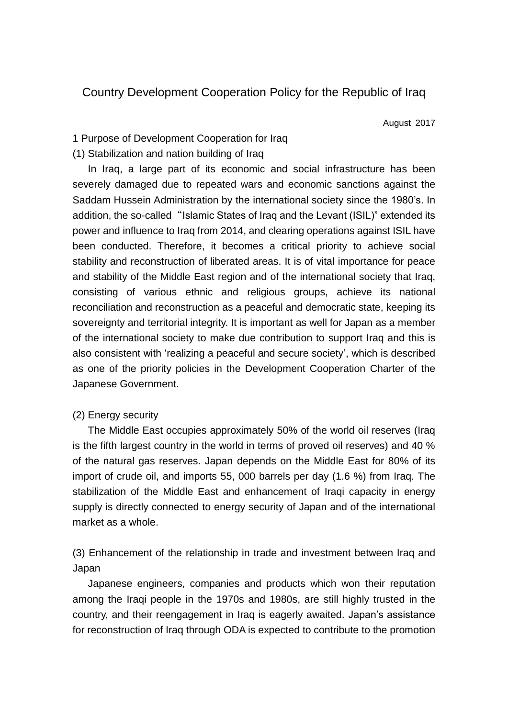# Country Development Cooperation Policy for the Republic of Iraq

August 2017

### 1 Purpose of Development Cooperation for Iraq

### (1) Stabilization and nation building of Iraq

In Iraq, a large part of its economic and social infrastructure has been severely damaged due to repeated wars and economic sanctions against the Saddam Hussein Administration by the international society since the 1980's. In addition, the so-called "Islamic States of Iraq and the Levant (ISIL)" extended its power and influence to Iraq from 2014, and clearing operations against ISIL have been conducted. Therefore, it becomes a critical priority to achieve social stability and reconstruction of liberated areas. It is of vital importance for peace and stability of the Middle East region and of the international society that Iraq, consisting of various ethnic and religious groups, achieve its national reconciliation and reconstruction as a peaceful and democratic state, keeping its sovereignty and territorial integrity. It is important as well for Japan as a member of the international society to make due contribution to support Iraq and this is also consistent with 'realizing a peaceful and secure society', which is described as one of the priority policies in the Development Cooperation Charter of the Japanese Government.

### (2) Energy security

The Middle East occupies approximately 50% of the world oil reserves (Iraq is the fifth largest country in the world in terms of proved oil reserves) and 40 % of the natural gas reserves. Japan depends on the Middle East for 80% of its import of crude oil, and imports 55, 000 barrels per day (1.6 %) from Iraq. The stabilization of the Middle East and enhancement of Iraqi capacity in energy supply is directly connected to energy security of Japan and of the international market as a whole.

(3) Enhancement of the relationship in trade and investment between Iraq and Japan

Japanese engineers, companies and products which won their reputation among the Iraqi people in the 1970s and 1980s, are still highly trusted in the country, and their reengagement in Iraq is eagerly awaited. Japan's assistance for reconstruction of Iraq through ODA is expected to contribute to the promotion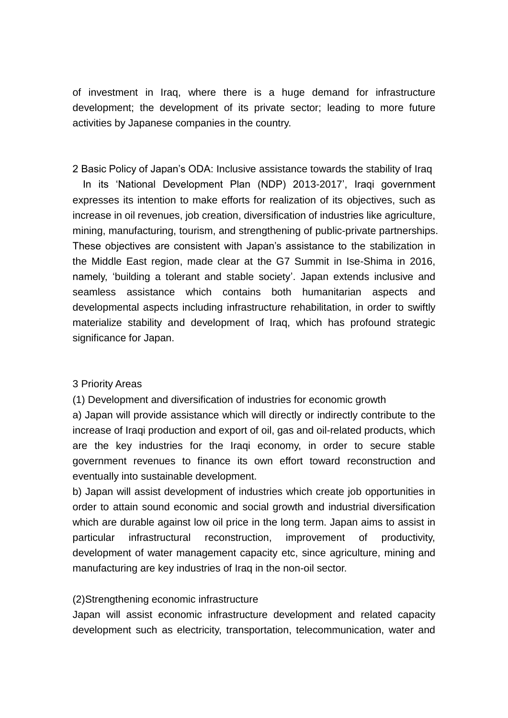of investment in Iraq, where there is a huge demand for infrastructure development; the development of its private sector; leading to more future activities by Japanese companies in the country.

2 Basic Policy of Japan's ODA: Inclusive assistance towards the stability of Iraq In its 'National Development Plan (NDP) 2013-2017', Iraqi government expresses its intention to make efforts for realization of its objectives, such as increase in oil revenues, job creation, diversification of industries like agriculture, mining, manufacturing, tourism, and strengthening of public-private partnerships. These objectives are consistent with Japan's assistance to the stabilization in the Middle East region, made clear at the G7 Summit in Ise-Shima in 2016, namely, 'building a tolerant and stable society'. Japan extends inclusive and seamless assistance which contains both humanitarian aspects and developmental aspects including infrastructure rehabilitation, in order to swiftly materialize stability and development of Iraq, which has profound strategic significance for Japan.

#### 3 Priority Areas

(1) Development and diversification of industries for economic growth

a) Japan will provide assistance which will directly or indirectly contribute to the increase of Iraqi production and export of oil, gas and oil-related products, which are the key industries for the Iraqi economy, in order to secure stable government revenues to finance its own effort toward reconstruction and eventually into sustainable development.

b) Japan will assist development of industries which create job opportunities in order to attain sound economic and social growth and industrial diversification which are durable against low oil price in the long term. Japan aims to assist in particular infrastructural reconstruction, improvement of productivity, development of water management capacity etc, since agriculture, mining and manufacturing are key industries of Iraq in the non-oil sector.

#### (2)Strengthening economic infrastructure

Japan will assist economic infrastructure development and related capacity development such as electricity, transportation, telecommunication, water and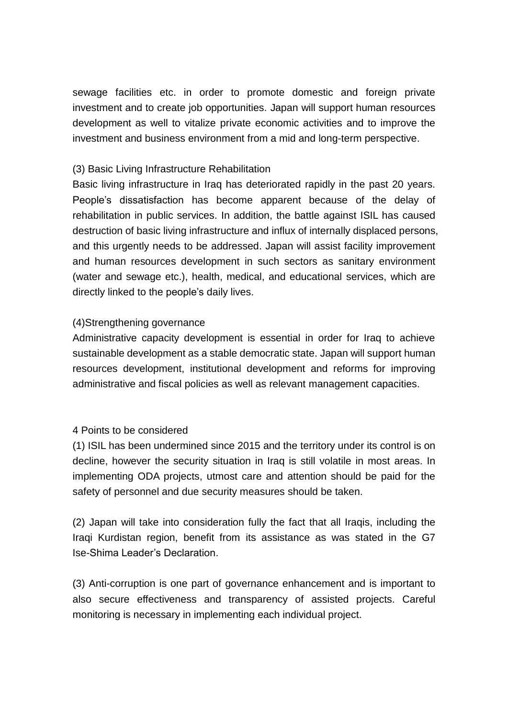sewage facilities etc. in order to promote domestic and foreign private investment and to create job opportunities. Japan will support human resources development as well to vitalize private economic activities and to improve the investment and business environment from a mid and long-term perspective.

## (3) Basic Living Infrastructure Rehabilitation

Basic living infrastructure in Iraq has deteriorated rapidly in the past 20 years. People's dissatisfaction has become apparent because of the delay of rehabilitation in public services. In addition, the battle against ISIL has caused destruction of basic living infrastructure and influx of internally displaced persons, and this urgently needs to be addressed. Japan will assist facility improvement and human resources development in such sectors as sanitary environment (water and sewage etc.), health, medical, and educational services, which are directly linked to the people's daily lives.

## (4)Strengthening governance

Administrative capacity development is essential in order for Iraq to achieve sustainable development as a stable democratic state. Japan will support human resources development, institutional development and reforms for improving administrative and fiscal policies as well as relevant management capacities.

## 4 Points to be considered

(1) ISIL has been undermined since 2015 and the territory under its control is on decline, however the security situation in Iraq is still volatile in most areas. In implementing ODA projects, utmost care and attention should be paid for the safety of personnel and due security measures should be taken.

(2) Japan will take into consideration fully the fact that all Iraqis, including the Iraqi Kurdistan region, benefit from its assistance as was stated in the G7 Ise-Shima Leader's Declaration.

(3) Anti-corruption is one part of governance enhancement and is important to also secure effectiveness and transparency of assisted projects. Careful monitoring is necessary in implementing each individual project.